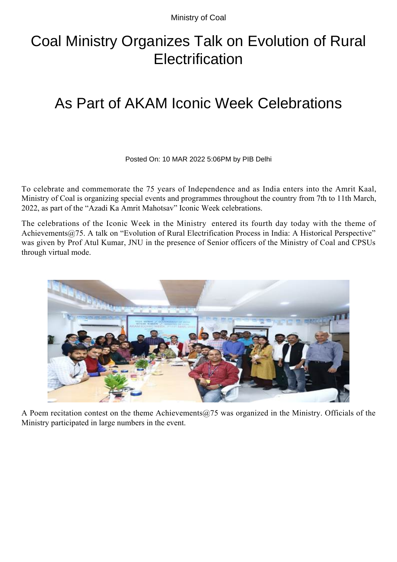Ministry of Coal

## Coal Ministry Organizes Talk on Evolution of Rural **Electrification**

## As Part of AKAM Iconic Week Celebrations

Posted On: 10 MAR 2022 5:06PM by PIB Delhi

To celebrate and commemorate the 75 years of Independence and as India enters into the Amrit Kaal, Ministry of Coal is organizing special events and programmes throughout the country from 7th to 11th March, 2022, as part of the "Azadi Ka Amrit Mahotsav" Iconic Week celebrations.

The celebrations of the Iconic Week in the Ministry entered its fourth day today with the theme of Achievements@75. A talk on "Evolution of Rural Electrification Process in India: A Historical Perspective" was given by Prof Atul Kumar, JNU in the presence of Senior officers of the Ministry of Coal and CPSUs through virtual mode.



A Poem recitation contest on the theme Achievements  $@75$  was organized in the Ministry. Officials of the Ministry participated in large numbers in the event.